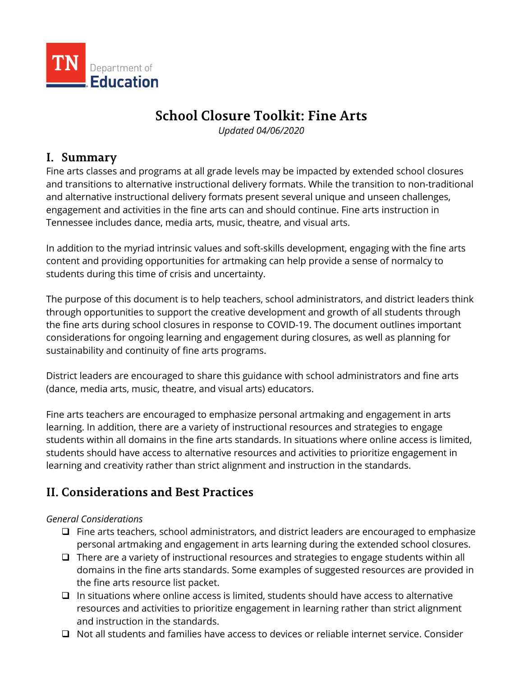

# **School Closure Toolkit: Fine Arts**

*Updated 04/06/2020* 

## **I. Summary**

 Fine arts classes and programs at all grade levels may be impacted by extended school closures and transitions to alternative instructional delivery formats. While the transition to non-traditional and alternative instructional delivery formats present several unique and unseen challenges, engagement and activities in the fine arts can and should continue. Fine arts instruction in Tennessee includes dance, media arts, music, theatre, and visual arts.

In addition to the myriad intrinsic values and soft-skills development, engaging with the fine arts content and providing opportunities for artmaking can help provide a sense of normalcy to students during this time of crisis and uncertainty.

The purpose of this document is to help teachers, school administrators, and district leaders think through opportunities to support the creative development and growth of all students through the fine arts during school closures in response to COVID-19. The document outlines important considerations for ongoing learning and engagement during closures, as well as planning for sustainability and continuity of fine arts programs.

District leaders are encouraged to share this guidance with school administrators and fine arts (dance, media arts, music, theatre, and visual arts) educators.

 Fine arts teachers are encouraged to emphasize personal artmaking and engagement in arts learning. In addition, there are a variety of instructional resources and strategies to engage students within all domains in the fine arts standards. In situations where online access is limited, students should have access to alternative resources and activities to prioritize engagement in learning and creativity rather than strict alignment and instruction in the standards.

## **II. Considerations and Best Practices**

## *General Considerations*

- $\Box$  Fine arts teachers, school administrators, and district leaders are encouraged to emphasize personal artmaking and engagement in arts learning during the extended school closures.
- $\Box$  There are a variety of instructional resources and strategies to engage students within all domains in the fine arts standards. Some examples of suggested resources are provided in the fine arts resource list packet.
- $\Box$  In situations where online access is limited, students should have access to alternative resources and activities to prioritize engagement in learning rather than strict alignment and instruction in the standards.
- $\Box$  Not all students and families have access to devices or reliable internet service. Consider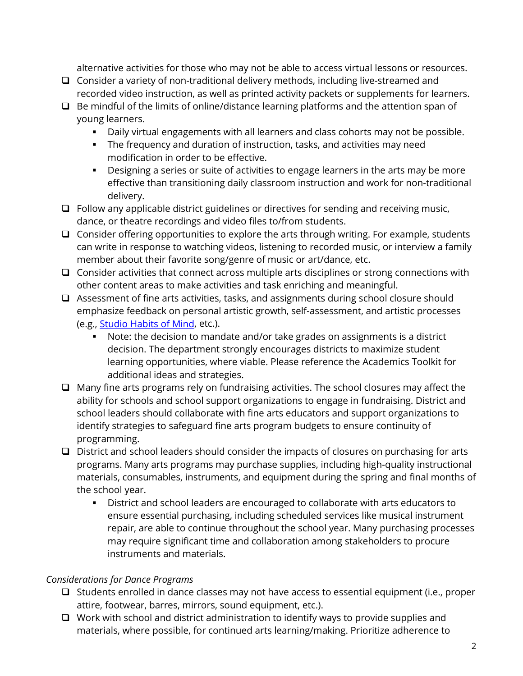alternative activities for those who may not be able to access virtual lessons or resources.

- $\Box$  Consider a variety of non-traditional delivery methods, including live-streamed and recorded video instruction, as well as printed activity packets or supplements for learners.
- $\Box$  Be mindful of the limits of online/distance learning platforms and the attention span of young learners.
	- Daily virtual engagements with all learners and class cohorts may not be possible.
	- The frequency and duration of instruction, tasks, and activities may need modification in order to be effective.
	- **Designing a series or suite of activities to engage learners in the arts may be more** effective than transitioning daily classroom instruction and work for non-traditional delivery.
- $\Box$  Follow any applicable district guidelines or directives for sending and receiving music, dance, or theatre recordings and video files to/from students.
- $\Box$  Consider offering opportunities to explore the arts through writing. For example, students can write in response to watching videos, listening to recorded music, or interview a family member about their favorite song/genre of music or art/dance, etc.
- $\Box$  Consider activities that connect across multiple arts disciplines or strong connections with other content areas to make activities and task enriching and meaningful.
- □ Assessment of fine arts activities, tasks, and assignments during school closure should emphasize feedback on personal artistic growth, self-assessment, and artistic processes (e.g., [Studio Habits of Mind,](http://www.studiothinking.org/the-framework.html) etc.).
	- decision. The department strongly encourages districts to maximize student Note: the decision to mandate and/or take grades on assignments is a district learning opportunities, where viable. Please reference the Academics Toolkit for additional ideas and strategies.
- $\Box$  Many fine arts programs rely on fundraising activities. The school closures may affect the ability for schools and school support organizations to engage in fundraising. District and school leaders should collaborate with fine arts educators and support organizations to identify strategies to safeguard fine arts program budgets to ensure continuity of programming.
- $\Box$  District and school leaders should consider the impacts of closures on purchasing for arts programs. Many arts programs may purchase supplies, including high-quality instructional materials, consumables, instruments, and equipment during the spring and final months of the school year.
	- District and school leaders are encouraged to collaborate with arts educators to ensure essential purchasing, including scheduled services like musical instrument repair, are able to continue throughout the school year. Many purchasing processes may require significant time and collaboration among stakeholders to procure instruments and materials.

## *Considerations for Dance Programs*

- $\Box$  Students enrolled in dance classes may not have access to essential equipment (i.e., proper attire, footwear, barres, mirrors, sound equipment, etc.).
- $\Box$  Work with school and district administration to identify ways to provide supplies and materials, where possible, for continued arts learning/making. Prioritize adherence to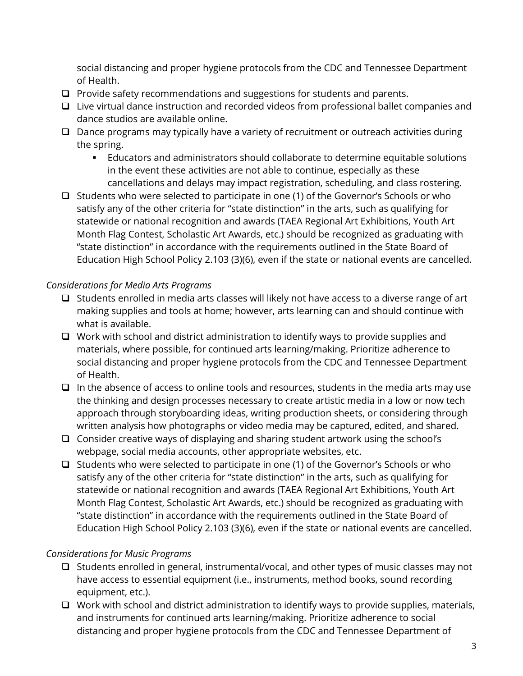social distancing and proper hygiene protocols from the CDC and Tennessee Department of Health.

- $\Box$  Provide safety recommendations and suggestions for students and parents.
- $\Box$  Live virtual dance instruction and recorded videos from professional ballet companies and dance studios are available online.
- $\square$  Dance programs may typically have a variety of recruitment or outreach activities during the spring.
	- Educators and administrators should collaborate to determine equitable solutions in the event these activities are not able to continue, especially as these cancellations and delays may impact registration, scheduling, and class rostering.
- $\Box$  Students who were selected to participate in one (1) of the Governor's Schools or who satisfy any of the other criteria for "state distinction" in the arts, such as qualifying for statewide or national recognition and awards (TAEA Regional Art Exhibitions, Youth Art Month Flag Contest, Scholastic Art Awards, etc.) should be recognized as graduating with "state distinction" in accordance with the requirements outlined in the State Board of Education High School Policy 2.103 (3)(6), even if the state or national events are cancelled.

#### *Considerations for Media Arts Programs*

- $\Box$  Students enrolled in media arts classes will likely not have access to a diverse range of art making supplies and tools at home; however, arts learning can and should continue with what is available.
- $\Box$  Work with school and district administration to identify ways to provide supplies and materials, where possible, for continued arts learning/making. Prioritize adherence to social distancing and proper hygiene protocols from the CDC and Tennessee Department of Health.
- $\Box$  In the absence of access to online tools and resources, students in the media arts may use written analysis how photographs or video media may be captured, edited, and shared. the thinking and design processes necessary to create artistic media in a low or now tech approach through storyboarding ideas, writing production sheets, or considering through
- $\Box$  Consider creative ways of displaying and sharing student artwork using the school's webpage, social media accounts, other appropriate websites, etc.
- $\Box$  Students who were selected to participate in one (1) of the Governor's Schools or who satisfy any of the other criteria for "state distinction" in the arts, such as qualifying for statewide or national recognition and awards (TAEA Regional Art Exhibitions, Youth Art Month Flag Contest, Scholastic Art Awards, etc.) should be recognized as graduating with "state distinction" in accordance with the requirements outlined in the State Board of Education High School Policy 2.103 (3)(6), even if the state or national events are cancelled.

## *Considerations for Music Programs*

- $\Box$  Students enrolled in general, instrumental/vocal, and other types of music classes may not have access to essential equipment (i.e., instruments, method books, sound recording equipment, etc.).
- $\Box$  Work with school and district administration to identify ways to provide supplies, materials, and instruments for continued arts learning/making. Prioritize adherence to social distancing and proper hygiene protocols from the CDC and Tennessee Department of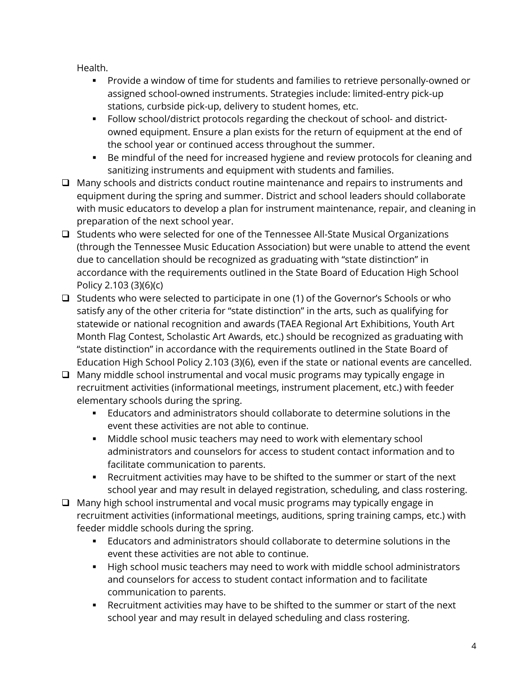Health.

- Provide a window of time for students and families to retrieve personally-owned or assigned school-owned instruments. Strategies include: limited-entry pick-up stations, curbside pick-up, delivery to student homes, etc.
- the school year or continued access throughout the summer. • Follow school/district protocols regarding the checkout of school- and districtowned equipment. Ensure a plan exists for the return of equipment at the end of
- Be mindful of the need for increased hygiene and review protocols for cleaning and sanitizing instruments and equipment with students and families.
- $\Box$  Many schools and districts conduct routine maintenance and repairs to instruments and equipment during the spring and summer. District and school leaders should collaborate with music educators to develop a plan for instrument maintenance, repair, and cleaning in preparation of the next school year.
- $\Box$  Students who were selected for one of the Tennessee All-State Musical Organizations Policy 2.103 (3)(6)(c) (through the Tennessee Music Education Association) but were unable to attend the event due to cancellation should be recognized as graduating with "state distinction" in accordance with the requirements outlined in the State Board of Education High School
- $\Box$  Students who were selected to participate in one (1) of the Governor's Schools or who satisfy any of the other criteria for "state distinction" in the arts, such as qualifying for statewide or national recognition and awards (TAEA Regional Art Exhibitions, Youth Art Month Flag Contest, Scholastic Art Awards, etc.) should be recognized as graduating with "state distinction" in accordance with the requirements outlined in the State Board of Education High School Policy 2.103 (3)(6), even if the state or national events are cancelled.
- $\Box$  Many middle school instrumental and vocal music programs may typically engage in recruitment activities (informational meetings, instrument placement, etc.) with feeder elementary schools during the spring.
	- Educators and administrators should collaborate to determine solutions in the event these activities are not able to continue.
	- Middle school music teachers may need to work with elementary school administrators and counselors for access to student contact information and to facilitate communication to parents.
	- Recruitment activities may have to be shifted to the summer or start of the next school year and may result in delayed registration, scheduling, and class rostering.
- Many high school instrumental and vocal music programs may typically engage in recruitment activities (informational meetings, auditions, spring training camps, etc.) with feeder middle schools during the spring.
	- Educators and administrators should collaborate to determine solutions in the event these activities are not able to continue.
	- High school music teachers may need to work with middle school administrators and counselors for access to student contact information and to facilitate communication to parents.
	- Recruitment activities may have to be shifted to the summer or start of the next school year and may result in delayed scheduling and class rostering.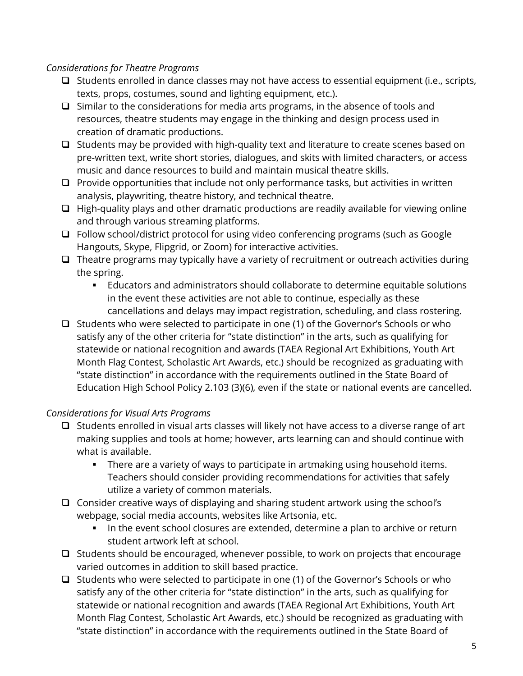#### *Considerations for Theatre Programs*

- $\Box$  Students enrolled in dance classes may not have access to essential equipment (i.e., scripts, texts, props, costumes, sound and lighting equipment, etc.).
- $\square$  Similar to the considerations for media arts programs, in the absence of tools and resources, theatre students may engage in the thinking and design process used in creation of dramatic productions.
- pre-written text, write short stories, dialogues, and skits with limited characters, or access  $\Box$  Students may be provided with high-quality text and literature to create scenes based on music and dance resources to build and maintain musical theatre skills.
- $\Box$  Provide opportunities that include not only performance tasks, but activities in written analysis, playwriting, theatre history, and technical theatre.
- $\Box$  High-quality plays and other dramatic productions are readily available for viewing online and through various streaming platforms.
- □ Follow school/district protocol for using video conferencing programs (such as Google Hangouts, Skype, Flipgrid, or Zoom) for interactive activities.
- $\square$  Theatre programs may typically have a variety of recruitment or outreach activities during the spring.
	- Educators and administrators should collaborate to determine equitable solutions in the event these activities are not able to continue, especially as these cancellations and delays may impact registration, scheduling, and class rostering.
- $\Box$  Students who were selected to participate in one (1) of the Governor's Schools or who satisfy any of the other criteria for "state distinction" in the arts, such as qualifying for statewide or national recognition and awards (TAEA Regional Art Exhibitions, Youth Art Month Flag Contest, Scholastic Art Awards, etc.) should be recognized as graduating with "state distinction" in accordance with the requirements outlined in the State Board of Education High School Policy 2.103 (3)(6), even if the state or national events are cancelled.

#### *Considerations for Visual Arts Programs*

- $\Box$  Students enrolled in visual arts classes will likely not have access to a diverse range of art making supplies and tools at home; however, arts learning can and should continue with what is available.
	- There are a variety of ways to participate in artmaking using household items. Teachers should consider providing recommendations for activities that safely utilize a variety of common materials.
- Consider creative ways of displaying and sharing student artwork using the school's webpage, social media accounts, websites like Artsonia, etc.
	- In the event school closures are extended, determine a plan to archive or return student artwork left at school.
- $\Box$  Students should be encouraged, whenever possible, to work on projects that encourage varied outcomes in addition to skill based practice.
- $\Box$  Students who were selected to participate in one (1) of the Governor's Schools or who satisfy any of the other criteria for "state distinction" in the arts, such as qualifying for statewide or national recognition and awards (TAEA Regional Art Exhibitions, Youth Art Month Flag Contest, Scholastic Art Awards, etc.) should be recognized as graduating with "state distinction" in accordance with the requirements outlined in the State Board of